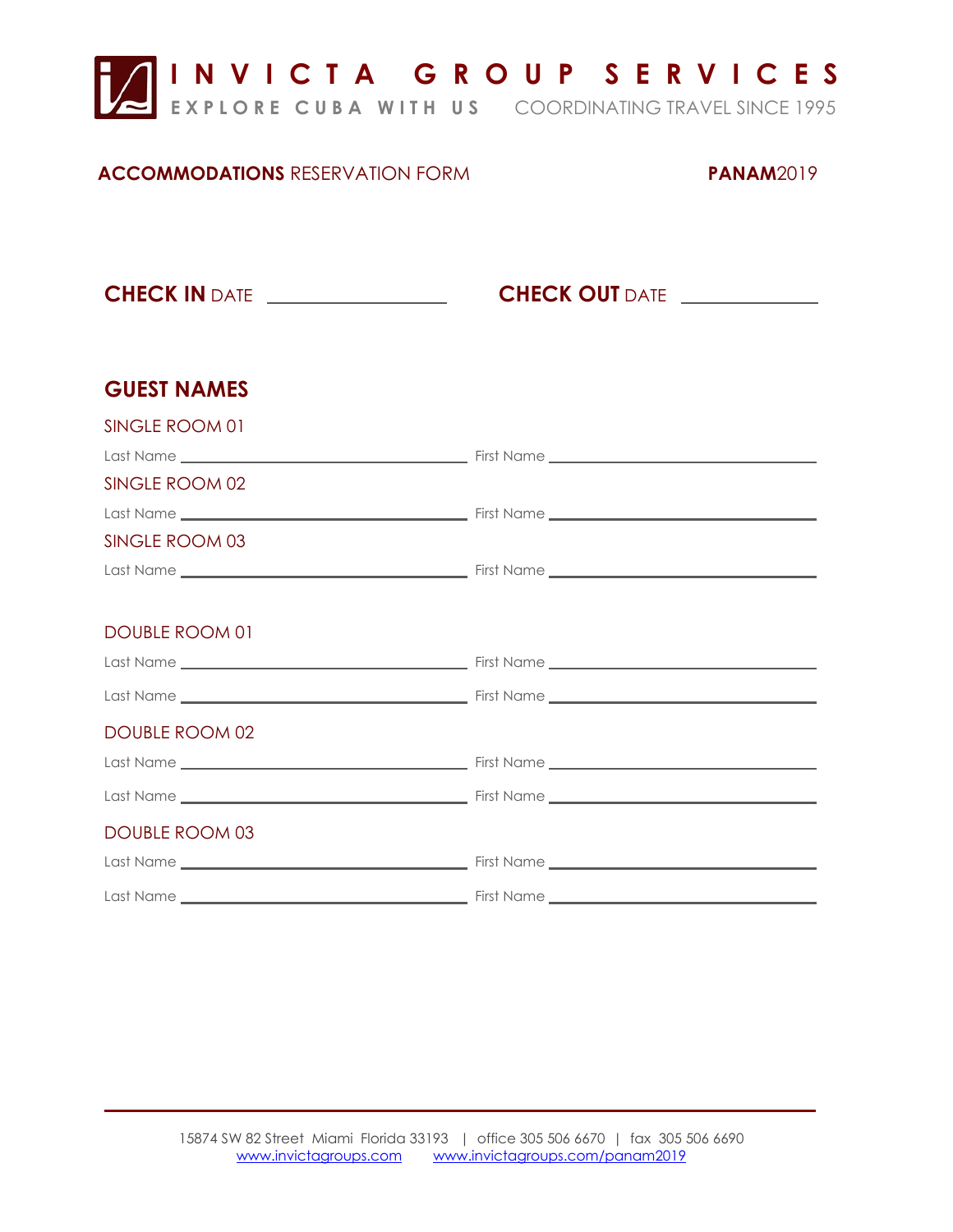

**E X P L O R E C U B A W I T H U S** COORDINATING TRAVEL SINCE 1995

### **ACCOMMODATIONS** RESERVATION FORM **PANAM**2019

**CHECK IN** DATE *CHECK OUT* **DATE** 

| <b>GUEST NAMES</b>    |  |
|-----------------------|--|
| SINGLE ROOM 01        |  |
|                       |  |
| SINGLE ROOM 02        |  |
|                       |  |
| SINGLE ROOM 03        |  |
|                       |  |
|                       |  |
| DOUBLE ROOM 01        |  |
|                       |  |
|                       |  |
| <b>DOUBLE ROOM 02</b> |  |
|                       |  |
|                       |  |
| <b>DOUBLE ROOM 03</b> |  |
|                       |  |
|                       |  |

\_\_\_\_\_ \_\_\_\_\_\_\_\_\_\_\_\_\_\_\_\_\_\_\_\_\_\_\_\_\_\_\_\_\_\_\_\_\_\_\_\_\_\_\_ \_\_\_\_\_\_\_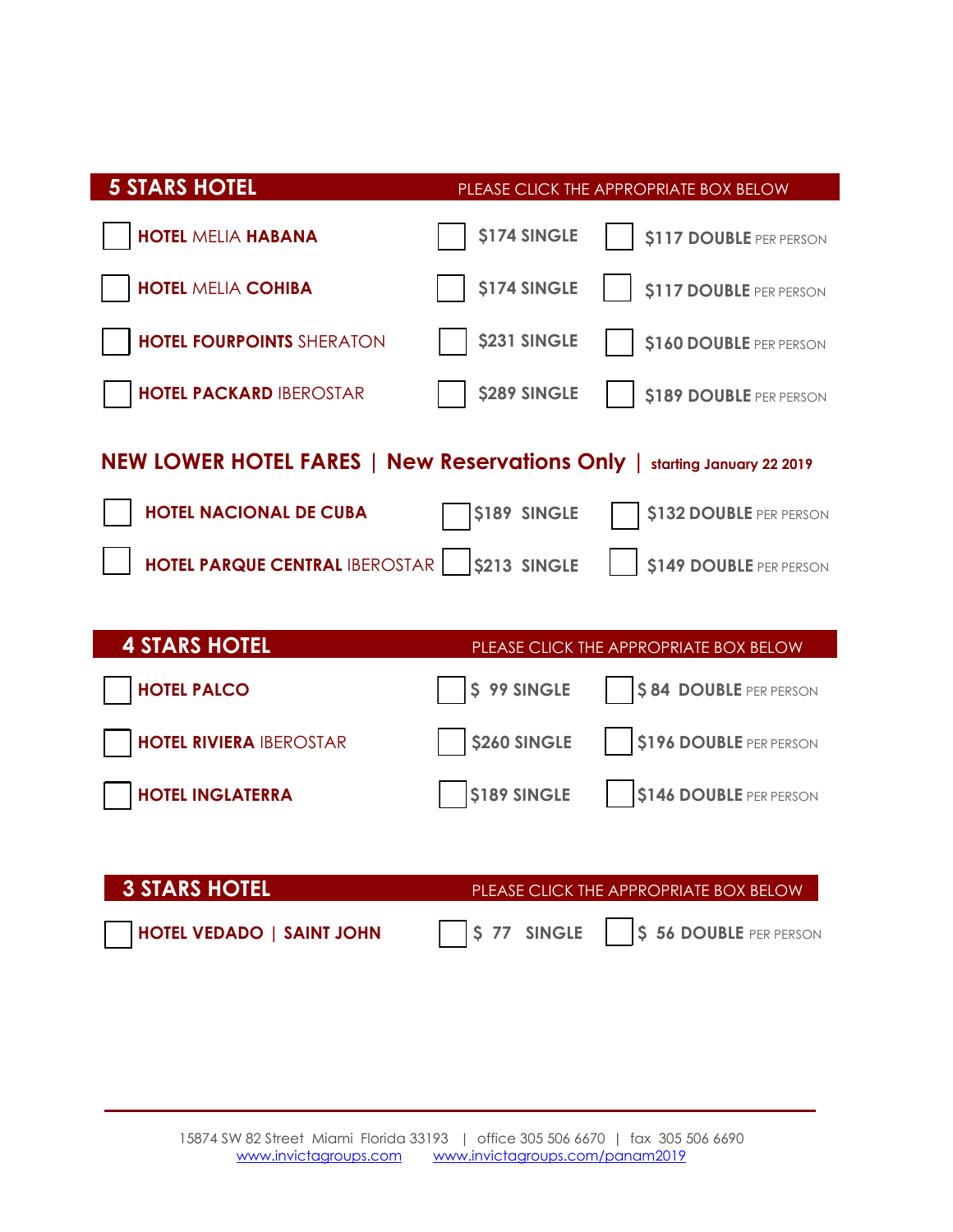| <b>5 STARS HOTEL</b>                                                     |                     | PLEASE CLICK THE APPROPRIATE BOX BELOW |  |
|--------------------------------------------------------------------------|---------------------|----------------------------------------|--|
| <b>HOTEL MELIA HABANA</b>                                                | <b>\$174 SINGLE</b> | \$117 DOUBLE PER PERSON                |  |
| <b>HOTEL MELIA COHIBA</b>                                                | <b>\$174 SINGLE</b> | \$117 DOUBLE PER PERSON                |  |
| <b>HOTEL FOURPOINTS SHERATON</b>                                         | <b>\$231 SINGLE</b> | \$160 DOUBLE PER PERSON                |  |
| <b>HOTEL PACKARD IBEROSTAR</b>                                           | <b>\$289 SINGLE</b> | \$189 DOUBLE PER PERSON                |  |
| NEW LOWER HOTEL FARES   New Reservations Only   starting January 22 2019 |                     |                                        |  |
| <b>HOTEL NACIONAL DE CUBA</b>                                            | \$189 SINGLE        | \$132 DOUBLE PER PERSON                |  |
| <b>HOTEL PARQUE CENTRAL IBEROSTAR     \$213 SINGLE</b>                   |                     | \$149 DOUBLE PER PERSON                |  |
|                                                                          |                     |                                        |  |
| <b>4 STARS HOTEL</b>                                                     |                     | PLEASE CLICK THE APPROPRIATE BOX BELOW |  |
| <b>HOTEL PALCO</b>                                                       | \$99 SINGLE         | \$84 DOUBLE PER PERSON                 |  |
| <b>HOTEL RIVIERA IBEROSTAR</b>                                           | <b>\$260 SINGLE</b> | \$196 DOUBLE PER PERSON                |  |
| <b>HOTEL INGLATERRA</b>                                                  | <b>\$189 SINGLE</b> | \$146 DOUBLE PER PERSON                |  |
|                                                                          |                     |                                        |  |

**3 STARS HOTEL BUTER PLEASE CLICK THE APPROPRIATE BOX BELOW HOTEL VEDADO | SAINT JOHN \$ 77 SINGLE \$ 56 DOUBLE** PER PERSON